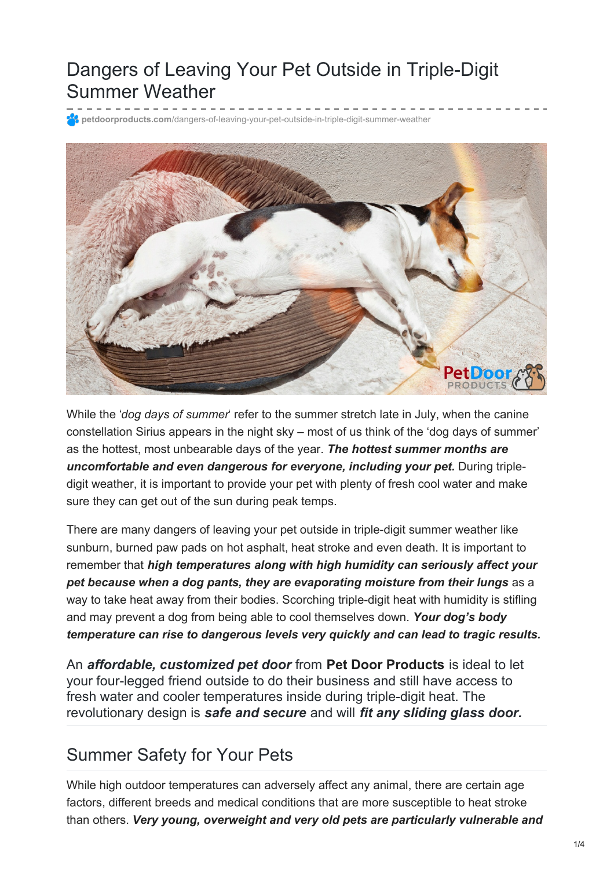## Dangers of Leaving Your Pet Outside in Triple-Digit Summer Weather

**petdoorproducts.com**[/dangers-of-leaving-your-pet-outside-in-triple-digit-summer-weather](https://petdoorproducts.com/dangers-of-leaving-your-pet-outside-in-triple-digit-summer-weather/)



While the '*dog days of summer*' refer to the summer stretch late in July, when the canine constellation Sirius appears in the night sky – most of us think of the 'dog days of summer' as the hottest, most unbearable days of the year. *The hottest summer months are uncomfortable and even dangerous for everyone, including your pet.* During tripledigit weather, it is important to provide your pet with plenty of fresh cool water and make sure they can get out of the sun during peak temps.

There are many dangers of leaving your pet outside in triple-digit summer weather like sunburn, burned paw pads on hot asphalt, heat stroke and even death. It is important to remember that *high temperatures along with high humidity can seriously affect your pet because when a dog pants, they are evaporating moisture from their lungs* as a way to take heat away from their bodies. Scorching triple-digit heat with humidity is stifling and may prevent a dog from being able to cool themselves down. *Your dog's body temperature can rise to dangerous levels very quickly and can lead to tragic results.*

An *affordable, customized pet door* from **Pet Door [Products](https://petdoorproducts.com/how-it-works/)** is ideal to let your four-legged friend outside to do their business and still have access to fresh water and cooler temperatures inside during triple-digit heat. The revolutionary design is *safe and secure* and will *fit any sliding glass door.*

### Summer Safety for Your Pets

While high outdoor temperatures can adversely affect any animal, there are certain age factors, different breeds and medical conditions that are more susceptible to heat stroke than others. *Very young, overweight and very old pets are particularly vulnerable and*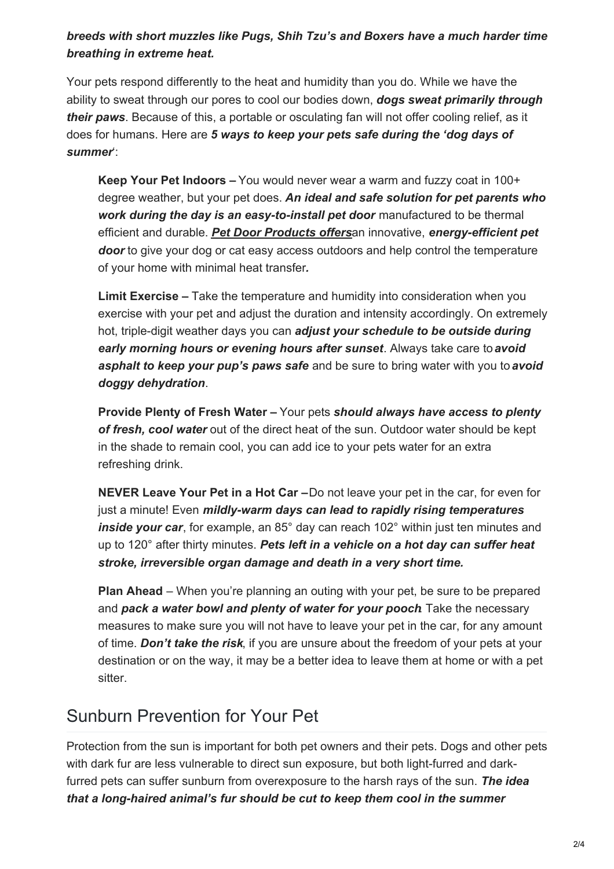#### *breeds with short muzzles like Pugs, Shih Tzu's and Boxers have a much harder time breathing in extreme heat.*

Your pets respond differently to the heat and humidity than you do. While we have the ability to sweat through our pores to cool our bodies down, *dogs sweat primarily through their paws*. Because of this, a portable or osculating fan will not offer cooling relief, as it does for humans. Here are *5 ways to keep your pets safe during the 'dog days of summer*':

**Keep Your Pet Indoors –** You would never wear a warm and fuzzy coat in 100+ degree weather, but your pet does. *An ideal and safe solution for pet parents who work during the day is an easy-to-install pet door* manufactured to be thermal efficient and durable. *Pet Door [Products](https://petdoorproducts.com/shop/) offers*an innovative, *energy-efficient pet* **door** to give your dog or cat easy access outdoors and help control the temperature of your home with minimal heat transfer*.*

**Limit Exercise –** Take the temperature and humidity into consideration when you exercise with your pet and adjust the duration and intensity accordingly. On extremely hot, triple-digit weather days you can *adjust your schedule to be outside during early morning hours or evening hours after sunset*. Always take care to*avoid asphalt to keep your pup's paws safe* and be sure to bring water with you to *avoid doggy dehydration*.

**Provide Plenty of Fresh Water –** Your pets *should always have access to plenty of fresh, cool water* out of the direct heat of the sun. Outdoor water should be kept in the shade to remain cool, you can add ice to your pets water for an extra refreshing drink.

**NEVER Leave Your Pet in a Hot Car –**Do not leave your pet in the car, for even for just a minute! Even *mildly-warm days can lead to rapidly rising temperatures inside your car*, for example, an 85° day can reach 102° within just ten minutes and up to 120° after thirty minutes. *Pets left in a vehicle on a hot day can suffer heat stroke, irreversible organ damage and death in a very short time.*

**Plan Ahead** – When you're planning an outing with your pet, be sure to be prepared and *pack a water bowl and plenty of water for your pooch*. Take the necessary measures to make sure you will not have to leave your pet in the car, for any amount of time. *Don't take the risk*, if you are unsure about the freedom of your pets at your destination or on the way, it may be a better idea to leave them at home or with a pet sitter.

### Sunburn Prevention for Your Pet

Protection from the sun is important for both pet owners and their pets. Dogs and other pets with dark fur are less vulnerable to direct sun exposure, but both light-furred and darkfurred pets can suffer sunburn from overexposure to the harsh rays of the sun. *The idea that a long-haired animal's fur should be cut to keep them cool in the summer*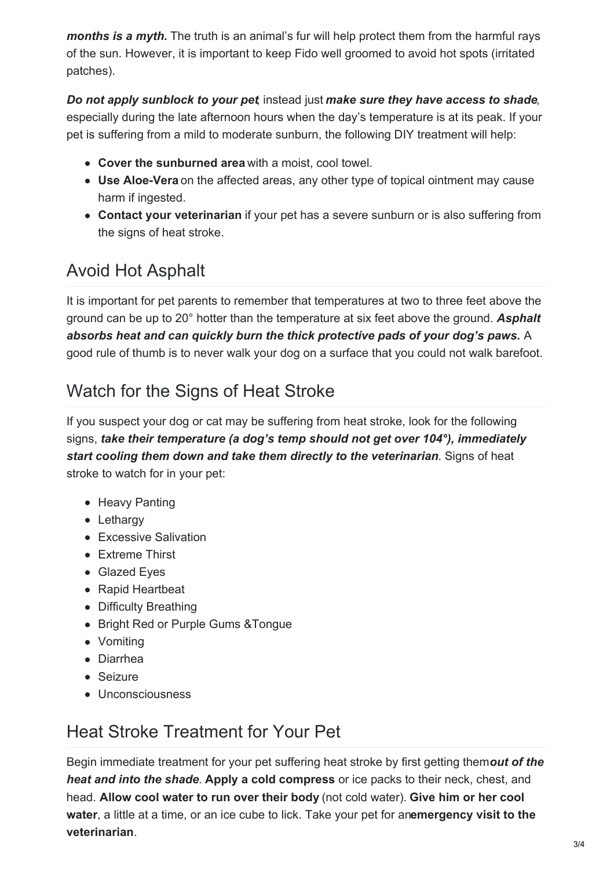*months is a myth.* The truth is an animal's fur will help protect them from the harmful rays of the sun. However, it is important to keep Fido well groomed to avoid hot spots (irritated patches).

### *Do not apply sunblock to your pet*, instead just *make sure they have access to shade*,

especially during the late afternoon hours when the day's temperature is at its peak. If your pet is suffering from a mild to moderate sunburn, the following DIY treatment will help:

- **Cover the sunburned area** with a moist, cool towel.
- **Use Aloe-Vera** on the affected areas, any other type of topical ointment may cause harm if ingested.
- **Contact your veterinarian** if your pet has a severe sunburn or is also suffering from the signs of heat stroke.

## Avoid Hot Asphalt

It is important for pet parents to remember that temperatures at two to three feet above the ground can be up to 20° hotter than the temperature at six feet above the ground. *Asphalt absorbs heat and can quickly burn the thick protective pads of your dog's paws.* A good rule of thumb is to never walk your dog on a surface that you could not walk barefoot.

### Watch for the Signs of Heat Stroke

If you suspect your dog or cat may be suffering from heat stroke, look for the following signs, *take their temperature (a dog's temp should not get over 104°), immediately start cooling them down and take them directly to the veterinarian*. Signs of heat stroke to watch for in your pet:

- Heavy Panting
- Lethargy
- Excessive Salivation
- Extreme Thirst
- Glazed Eyes
- Rapid Heartbeat
- Difficulty Breathing
- Bright Red or Purple Gums & Tongue
- Vomiting
- Diarrhea
- Seizure
- Unconsciousness

# Heat Stroke Treatment for Your Pet

Begin immediate treatment for your pet suffering heat stroke by first getting them*out of the heat and into the shade*. **Apply a cold compress** or ice packs to their neck, chest, and head. **Allow cool water to run over their body** (not cold water). **Give him or her cool water**, a little at a time, or an ice cube to lick. Take your pet for an**emergency visit to the veterinarian**.